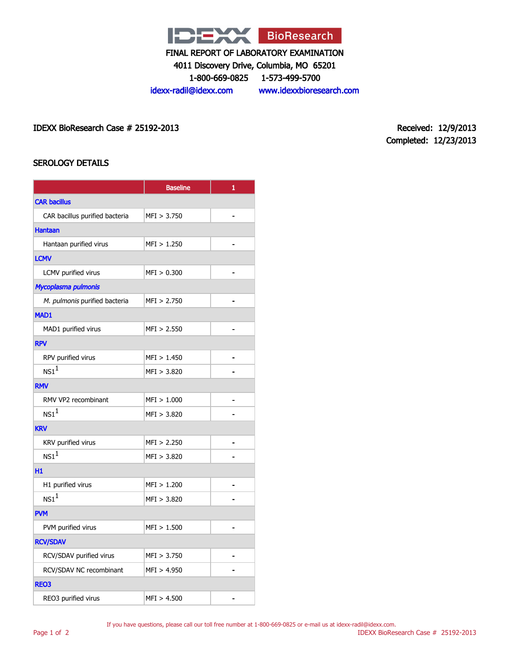

4011 Discovery Drive, Columbia, MO 65201

1-800-669-0825 1-573-499-5700

idexx-radil@idexx.com www.idexxbioresearch.com

IDEXX BioResearch Case # 25192-2013 Received: 12/9/2013

Completed: 12/23/2013

# SEROLOGY DETAILS

|                                | <b>Baseline</b> | 1  |  |  |
|--------------------------------|-----------------|----|--|--|
| <b>CAR bacillus</b>            |                 |    |  |  |
| CAR bacillus purified bacteria | MFI > 3.750     | Ĭ. |  |  |
| <b>Hantaan</b>                 |                 |    |  |  |
| Hantaan purified virus         | MFI > 1.250     |    |  |  |
| <b>LCMV</b>                    |                 |    |  |  |
| LCMV purified virus            | MFI > 0.300     | ÷  |  |  |
| Mycoplasma pulmonis            |                 |    |  |  |
| M. pulmonis purified bacteria  | MFI > 2.750     |    |  |  |
| MAD1                           |                 |    |  |  |
| MAD1 purified virus            | MFI > 2.550     | Ē, |  |  |
| <b>RPV</b>                     |                 |    |  |  |
| RPV purified virus             | MFI > 1.450     |    |  |  |
| NS1 <sup>1</sup>               | MFI > 3.820     |    |  |  |
| <b>RMV</b>                     |                 |    |  |  |
| RMV VP2 recombinant            | MFI > 1.000     |    |  |  |
| NS1 <sup>1</sup>               | MFI > 3.820     |    |  |  |
| <b>KRV</b>                     |                 |    |  |  |
| KRV purified virus             | MFI > 2.250     |    |  |  |
| NS1 <sup>1</sup>               | MFI > 3.820     |    |  |  |
| H1                             |                 |    |  |  |
| H1 purified virus              | MFI > 1.200     |    |  |  |
| $NS1^1$                        | MFI > 3.820     |    |  |  |
| <b>PVM</b>                     |                 |    |  |  |
| PVM purified virus             | MFI > 1.500     |    |  |  |
| <b>RCV/SDAV</b>                |                 |    |  |  |
| RCV/SDAV purified virus        | MFI > 3.750     |    |  |  |
| RCV/SDAV NC recombinant        | MFI > 4.950     |    |  |  |
| <b>REO3</b>                    |                 |    |  |  |
| REO3 purified virus            | MFI > 4.500     |    |  |  |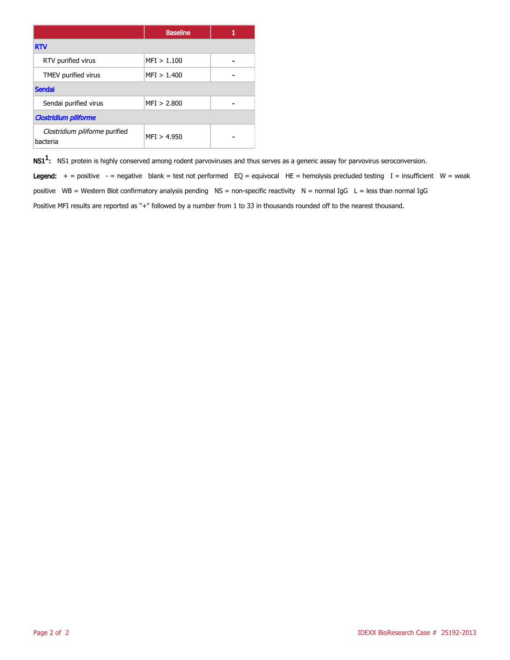|                                            | <b>Baseline</b> |  |  |  |
|--------------------------------------------|-----------------|--|--|--|
| <b>RTV</b>                                 |                 |  |  |  |
| RTV purified virus                         | MFI > 1.100     |  |  |  |
| TMEV purified virus                        | MFI > 1.400     |  |  |  |
| <b>Sendai</b>                              |                 |  |  |  |
| Sendai purified virus                      | MFI > 2.800     |  |  |  |
| <b>Clostridium piliforme</b>               |                 |  |  |  |
| Clostridium piliforme purified<br>bacteria | MFI > 4.950     |  |  |  |

 $\mathsf{NS1^1}\text{:}$  NS1 protein is highly conserved among rodent parvoviruses and thus serves as a generic assay for parvovirus seroconversion.

Legend:  $+$  = positive - = negative blank = test not performed EQ = equivocal HE = hemolysis precluded testing I = insufficient W = weak positive WB = Western Blot confirmatory analysis pending  $NS =$  non-specific reactivity  $N =$  normal IgG  $L =$  less than normal IgG Positive MFI results are reported as "+" followed by a number from 1 to 33 in thousands rounded off to the nearest thousand.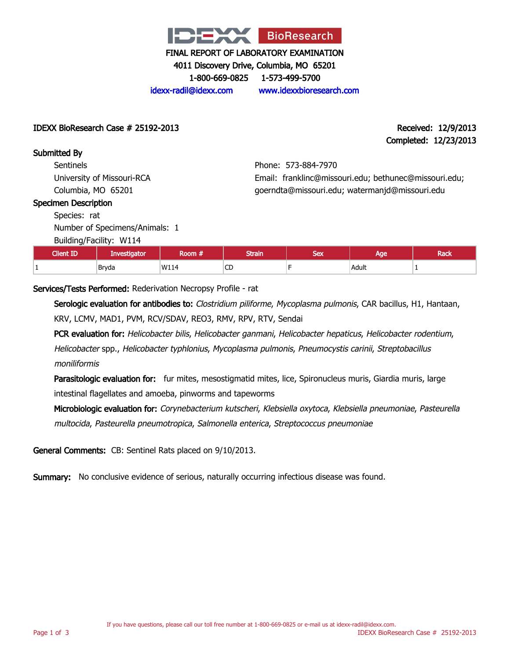

4011 Discovery Drive, Columbia, MO 65201

1-800-669-0825 1-573-499-5700

idexx-radil@idexx.com www.idexxbioresearch.com

IDEXX BioResearch Case # 25192-2013 Received: 12/9/2013

Completed: 12/23/2013

# Submitted By

**Sentinels** University of Missouri-RCA Columbia, MO 65201

# Phone: 573-884-7970 Email: franklinc@missouri.edu; bethunec@missouri.edu; goerndta@missouri.edu; watermanjd@missouri.edu

#### Specimen Description

Species: rat

Number of Specimens/Animals: 1

#### Building/Facility: W114

| <b>Client ID</b> | <b>esugator</b> | Room # | <b>Strain</b> | Cav.<br>ж | Aae   | Rack |
|------------------|-----------------|--------|---------------|-----------|-------|------|
|                  | Bryda           | W114   | CD            |           | Adult |      |

# Services/Tests Performed: Rederivation Necropsy Profile - rat

Serologic evaluation for antibodies to: Clostridium piliforme, Mycoplasma pulmonis, CAR bacillus, H1, Hantaan, KRV, LCMV, MAD1, PVM, RCV/SDAV, REO3, RMV, RPV, RTV, Sendai

PCR evaluation for: Helicobacter bilis, Helicobacter ganmani, Helicobacter hepaticus, Helicobacter rodentium, Helicobacter spp., Helicobacter typhlonius, Mycoplasma pulmonis, Pneumocystis carinii, Streptobacillus moniliformis

Parasitologic evaluation for: fur mites, mesostigmatid mites, lice, Spironucleus muris, Giardia muris, large intestinal flagellates and amoeba, pinworms and tapeworms

Microbiologic evaluation for: Corynebacterium kutscheri, Klebsiella oxytoca, Klebsiella pneumoniae, Pasteurella multocida, Pasteurella pneumotropica, Salmonella enterica, Streptococcus pneumoniae

General Comments: CB: Sentinel Rats placed on 9/10/2013.

Summary: No conclusive evidence of serious, naturally occurring infectious disease was found.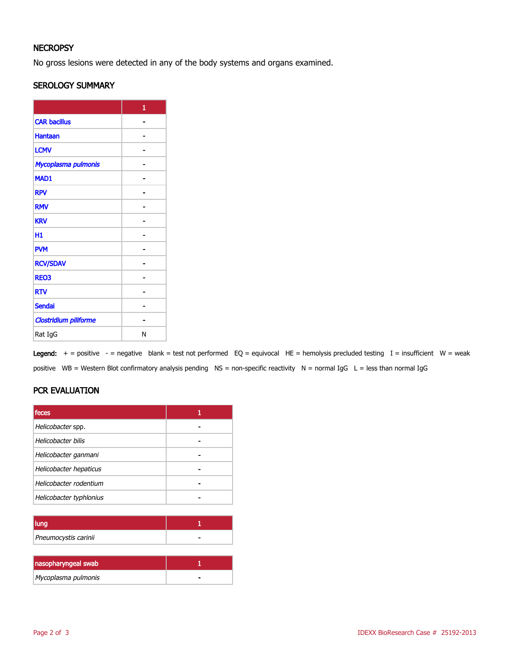# **NECROPSY**

No gross lesions were detected in any of the body systems and organs examined.

# SEROLOGY SUMMARY

|                       | 1 |
|-----------------------|---|
| <b>CAR bacillus</b>   |   |
| <b>Hantaan</b>        |   |
| <b>LCMV</b>           |   |
| Mycoplasma pulmonis   |   |
| MAD1                  |   |
| <b>RPV</b>            |   |
| <b>RMV</b>            |   |
| <b>KRV</b>            |   |
| H1                    |   |
| <b>PVM</b>            |   |
| <b>RCV/SDAV</b>       |   |
| <b>REO3</b>           |   |
| <b>RTV</b>            |   |
| <b>Sendai</b>         |   |
| Clostridium piliforme |   |
| Rat IgG               | N |

Legend:  $+$  = positive - = negative blank = test not performed EQ = equivocal HE = hemolysis precluded testing I = insufficient W = weak positive WB = Western Blot confirmatory analysis pending NS = non-specific reactivity N = normal IgG L = less than normal IgG

# PCR EVALUATION

| lung                 |  |
|----------------------|--|
| Pneumocystis carinii |  |

| nasopharyngeal swab |  |
|---------------------|--|
| Mycoplasma pulmonis |  |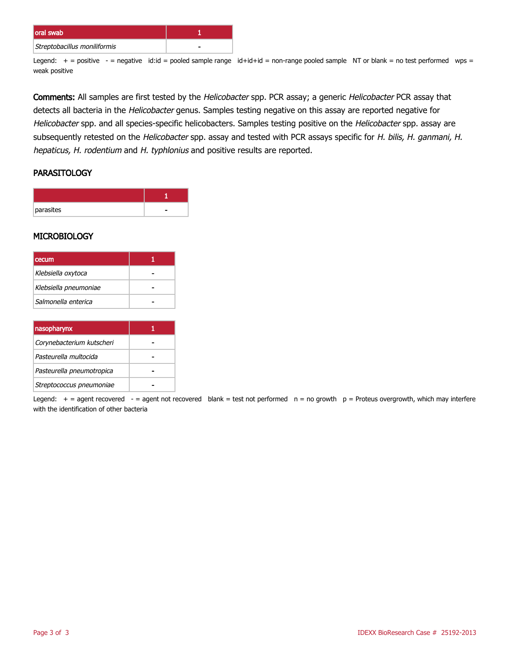| oral swab                    |  |
|------------------------------|--|
| Streptobacillus moniliformis |  |

Legend:  $+$  = positive - = negative id:id = pooled sample range id+id+id = non-range pooled sample NT or blank = no test performed wps = weak positive

Comments: All samples are first tested by the Helicobacter spp. PCR assay; a generic Helicobacter PCR assay that detects all bacteria in the Helicobacter genus. Samples testing negative on this assay are reported negative for Helicobacter spp. and all species-specific helicobacters. Samples testing positive on the Helicobacter spp. assay are subsequently retested on the Helicobacter spp. assay and tested with PCR assays specific for H. bilis, H. ganmani, H. hepaticus, H. rodentium and H. typhlonius and positive results are reported.

#### **PARASITOLOGY**

| parasites |  |
|-----------|--|

#### **MICROBIOLOGY**

| l cecum               |  |
|-----------------------|--|
| Klebsiella oxytoca    |  |
| Klebsiella pneumoniae |  |
| Salmonella enterica   |  |

| nasopharynx               |  |
|---------------------------|--|
| Corynebacterium kutscheri |  |
| Pasteurella multocida     |  |
| Pasteurella pneumotropica |  |
| Streptococcus pneumoniae  |  |

Legend:  $+$  = agent recovered  $-$  = agent not recovered blank = test not performed  $n = no$  growth  $p =$  Proteus overgrowth, which may interfere with the identification of other bacteria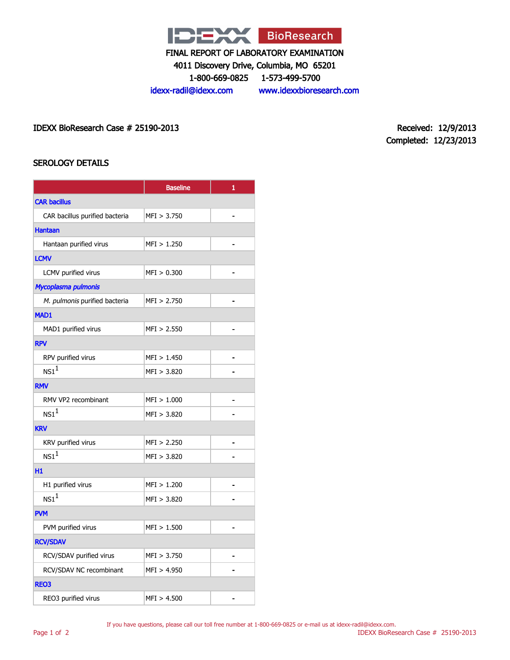

4011 Discovery Drive, Columbia, MO 65201

1-800-669-0825 1-573-499-5700

idexx-radil@idexx.com www.idexxbioresearch.com

IDEXX BioResearch Case # 25190-2013 Received: 12/9/2013

Completed: 12/23/2013

# SEROLOGY DETAILS

|                                | <b>Baseline</b> | 1              |  |  |
|--------------------------------|-----------------|----------------|--|--|
| <b>CAR bacillus</b>            |                 |                |  |  |
| CAR bacillus purified bacteria | MFI > 3.750     | ٠              |  |  |
| <b>Hantaan</b>                 |                 |                |  |  |
| Hantaan purified virus         | MFI > 1.250     |                |  |  |
| <b>LCMV</b>                    |                 |                |  |  |
| LCMV purified virus            | MFI > 0.300     | $\blacksquare$ |  |  |
| Mycoplasma pulmonis            |                 |                |  |  |
| M. pulmonis purified bacteria  | MFI > 2.750     |                |  |  |
| <b>MAD1</b>                    |                 |                |  |  |
| MAD1 purified virus            | MFI > 2.550     | $\blacksquare$ |  |  |
| <b>RPV</b>                     |                 |                |  |  |
| RPV purified virus             | MFI > 1.450     |                |  |  |
| NS1 <sup>1</sup>               | MFI > 3.820     |                |  |  |
| <b>RMV</b>                     |                 |                |  |  |
| RMV VP2 recombinant            | MFI > 1.000     |                |  |  |
| NS1 <sup>1</sup>               | MFI > 3.820     |                |  |  |
| <b>KRV</b>                     |                 |                |  |  |
| KRV purified virus             | MFI > 2.250     |                |  |  |
| NS1 <sup>1</sup>               | MFI > 3.820     |                |  |  |
| H1                             |                 |                |  |  |
| H1 purified virus              | MFI > 1.200     |                |  |  |
| NS1 <sup>1</sup>               | MFI > 3.820     |                |  |  |
| <b>PVM</b>                     |                 |                |  |  |
| PVM purified virus             | MFI > 1.500     |                |  |  |
| <b>RCV/SDAV</b>                |                 |                |  |  |
| RCV/SDAV purified virus        | MFI > 3.750     |                |  |  |
| RCV/SDAV NC recombinant        | MFI > 4.950     |                |  |  |
| <b>REO3</b>                    |                 |                |  |  |
| REO3 purified virus            | MFI > 4.500     |                |  |  |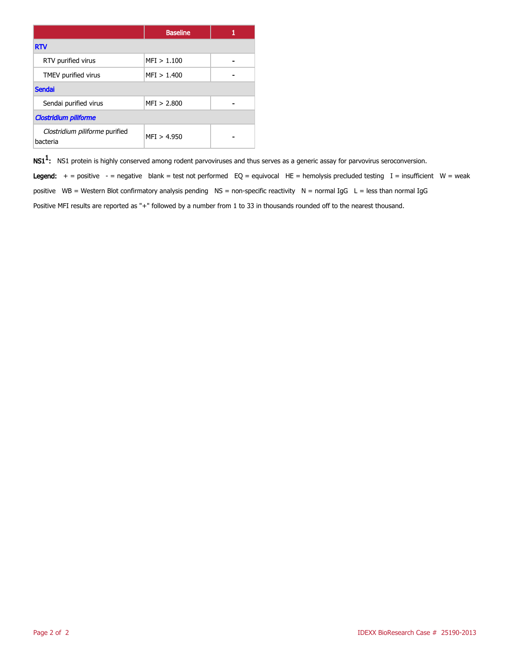|                                            | <b>Baseline</b> |  |  |  |  |
|--------------------------------------------|-----------------|--|--|--|--|
| <b>RTV</b>                                 |                 |  |  |  |  |
| RTV purified virus                         | MFI > 1.100     |  |  |  |  |
| TMEV purified virus                        | MFI > 1.400     |  |  |  |  |
| <b>Sendai</b>                              |                 |  |  |  |  |
| Sendai purified virus                      | MFI > 2.800     |  |  |  |  |
| <b>Clostridium piliforme</b>               |                 |  |  |  |  |
| Clostridium piliforme purified<br>bacteria | MFI > 4.950     |  |  |  |  |

 $\mathsf{NS1^1}\text{:}$  NS1 protein is highly conserved among rodent parvoviruses and thus serves as a generic assay for parvovirus seroconversion.

Legend:  $+$  = positive - = negative blank = test not performed EQ = equivocal HE = hemolysis precluded testing I = insufficient W = weak positive WB = Western Blot confirmatory analysis pending  $NS =$  non-specific reactivity  $N =$  normal IgG  $L =$  less than normal IgG Positive MFI results are reported as "+" followed by a number from 1 to 33 in thousands rounded off to the nearest thousand.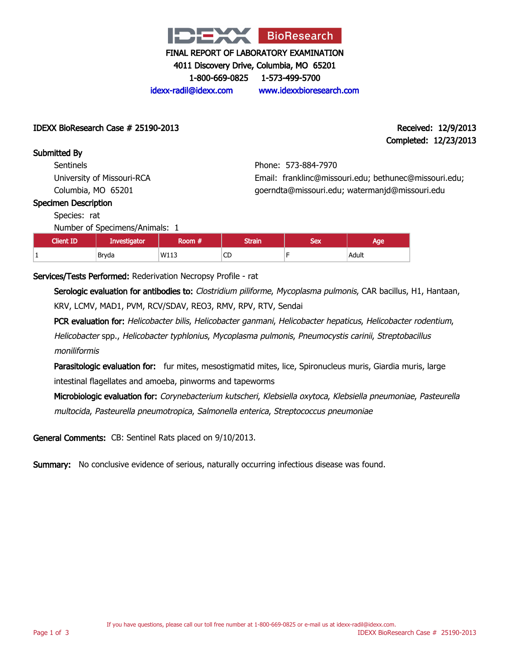

4011 Discovery Drive, Columbia, MO 65201

1-800-669-0825 1-573-499-5700

idexx-radil@idexx.com www.idexxbioresearch.com

IDEXX BioResearch Case # 25190-2013 Received: 12/9/2013

Completed: 12/23/2013

# Submitted By

**Sentinels** University of Missouri-RCA Columbia, MO 65201

Phone: 573-884-7970 Email: franklinc@missouri.edu; bethunec@missouri.edu; goerndta@missouri.edu; watermanjd@missouri.edu

# Specimen Description

Species: rat

Number of Specimens/Animals: 1

| <b>Client ID</b> | Investigator | Room #" | <b>Ptrain</b> | <b>CANA</b> | lae   |
|------------------|--------------|---------|---------------|-------------|-------|
|                  | Bryda        | W113    | 'CD           |             | Adult |

Services/Tests Performed: Rederivation Necropsy Profile - rat

Serologic evaluation for antibodies to: Clostridium piliforme, Mycoplasma pulmonis, CAR bacillus, H1, Hantaan, KRV, LCMV, MAD1, PVM, RCV/SDAV, REO3, RMV, RPV, RTV, Sendai

PCR evaluation for: Helicobacter bilis, Helicobacter ganmani, Helicobacter hepaticus, Helicobacter rodentium, Helicobacter spp., Helicobacter typhlonius, Mycoplasma pulmonis, Pneumocystis carinii, Streptobacillus moniliformis

Parasitologic evaluation for: fur mites, mesostigmatid mites, lice, Spironucleus muris, Giardia muris, large intestinal flagellates and amoeba, pinworms and tapeworms

Microbiologic evaluation for: Corynebacterium kutscheri, Klebsiella oxytoca, Klebsiella pneumoniae, Pasteurella multocida, Pasteurella pneumotropica, Salmonella enterica, Streptococcus pneumoniae

General Comments: CB: Sentinel Rats placed on 9/10/2013.

Summary: No conclusive evidence of serious, naturally occurring infectious disease was found.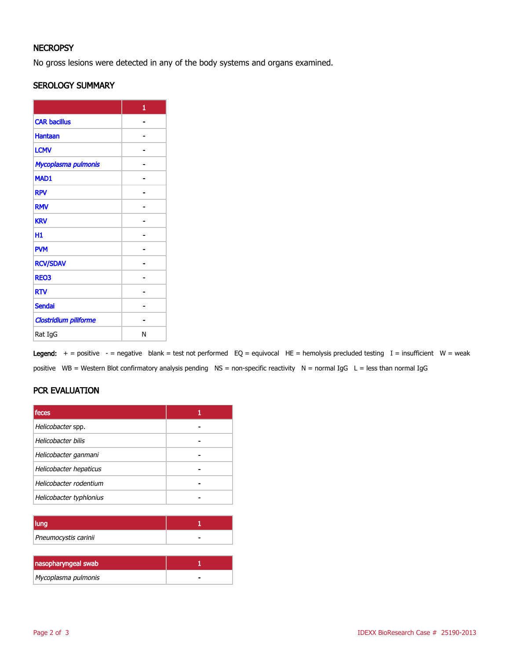# **NECROPSY**

No gross lesions were detected in any of the body systems and organs examined.

# SEROLOGY SUMMARY

|                              | 1 |
|------------------------------|---|
| <b>CAR bacillus</b>          |   |
| <b>Hantaan</b>               |   |
| <b>LCMV</b>                  |   |
| Mycoplasma pulmonis          |   |
| MAD1                         |   |
| <b>RPV</b>                   |   |
| <b>RMV</b>                   |   |
| <b>KRV</b>                   |   |
| H1                           |   |
| <b>PVM</b>                   |   |
| <b>RCV/SDAV</b>              |   |
| <b>REO3</b>                  |   |
| <b>RTV</b>                   |   |
| <b>Sendai</b>                |   |
| <b>Clostridium piliforme</b> |   |
| Rat IgG                      | N |

Legend:  $+$  = positive - = negative blank = test not performed EQ = equivocal HE = hemolysis precluded testing I = insufficient W = weak positive WB = Western Blot confirmatory analysis pending NS = non-specific reactivity N = normal IgG L = less than normal IgG

# PCR EVALUATION

| lung                 |  |
|----------------------|--|
| Pneumocystis carinii |  |

| nasopharyngeal swab |  |
|---------------------|--|
| Mycoplasma pulmonis |  |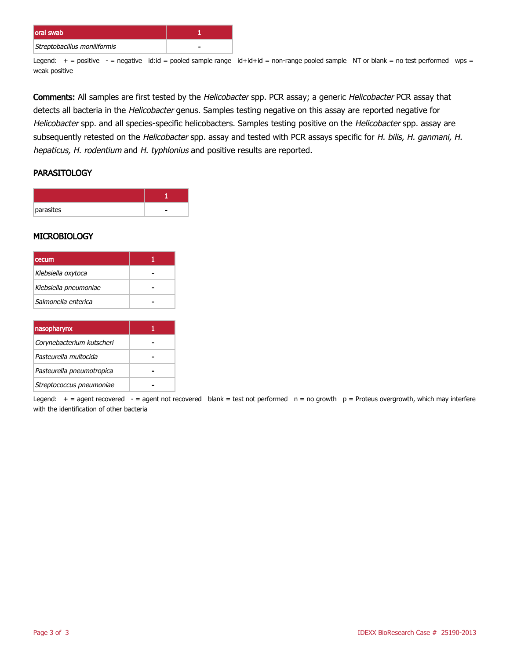| oral swab                    |  |
|------------------------------|--|
| Streptobacillus moniliformis |  |

Legend:  $+$  = positive - = negative id:id = pooled sample range id+id+id = non-range pooled sample NT or blank = no test performed wps = weak positive

Comments: All samples are first tested by the Helicobacter spp. PCR assay; a generic Helicobacter PCR assay that detects all bacteria in the Helicobacter genus. Samples testing negative on this assay are reported negative for Helicobacter spp. and all species-specific helicobacters. Samples testing positive on the Helicobacter spp. assay are subsequently retested on the Helicobacter spp. assay and tested with PCR assays specific for H. bilis, H. ganmani, H. hepaticus, H. rodentium and H. typhlonius and positive results are reported.

#### **PARASITOLOGY**

| parasites |  |
|-----------|--|

#### **MICROBIOLOGY**

| l cecum               |  |
|-----------------------|--|
| Klebsiella oxytoca    |  |
| Klebsiella pneumoniae |  |
| Salmonella enterica   |  |

| nasopharynx               |  |
|---------------------------|--|
| Corynebacterium kutscheri |  |
| Pasteurella multocida     |  |
| Pasteurella pneumotropica |  |
| Streptococcus pneumoniae  |  |

Legend:  $+$  = agent recovered  $-$  = agent not recovered blank = test not performed  $n = no$  growth  $p =$  Proteus overgrowth, which may interfere with the identification of other bacteria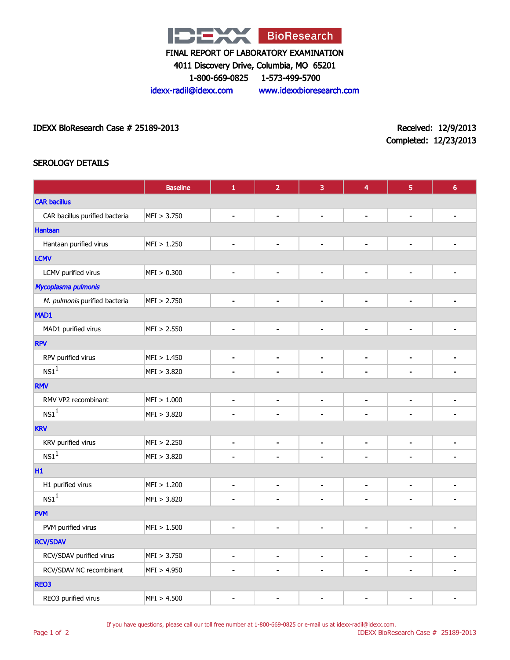

4011 Discovery Drive, Columbia, MO 65201

1-800-669-0825 1-573-499-5700

idexx-radil@idexx.com www.idexxbioresearch.com

IDEXX BioResearch Case # 25189-2013 Received: 12/9/2013

Completed: 12/23/2013

# SEROLOGY DETAILS

|                                | <b>Baseline</b> | $\mathbf{1}$                 | $\overline{2}$               | 3                            | 4                        | $\overline{5}$               | $6\phantom{a}$ |  |
|--------------------------------|-----------------|------------------------------|------------------------------|------------------------------|--------------------------|------------------------------|----------------|--|
| <b>CAR bacillus</b>            |                 |                              |                              |                              |                          |                              |                |  |
| CAR bacillus purified bacteria | MFI > 3.750     | $\overline{\phantom{a}}$     | $\qquad \qquad \blacksquare$ | $\blacksquare$               | $\blacksquare$           | $\overline{\phantom{a}}$     |                |  |
| Hantaan                        |                 |                              |                              |                              |                          |                              |                |  |
| Hantaan purified virus         | MFI > 1.250     | $\blacksquare$               | $\blacksquare$               | $\blacksquare$               | $\blacksquare$           | $\blacksquare$               |                |  |
| <b>LCMV</b>                    |                 |                              |                              |                              |                          |                              |                |  |
| LCMV purified virus            | MFI > 0.300     | $\blacksquare$               | $\overline{\phantom{0}}$     | $\blacksquare$               | $\blacksquare$           | $\overline{\phantom{a}}$     | $\blacksquare$ |  |
| Mycoplasma pulmonis            |                 |                              |                              |                              |                          |                              |                |  |
| M. pulmonis purified bacteria  | MFI > 2.750     | $\overline{\phantom{0}}$     | $\qquad \qquad \blacksquare$ | $\blacksquare$               | $\blacksquare$           | $\qquad \qquad \blacksquare$ |                |  |
| MAD1                           |                 |                              |                              |                              |                          |                              |                |  |
| MAD1 purified virus            | MFI > 2.550     | $\qquad \qquad \blacksquare$ | $\blacksquare$               | $\blacksquare$               | $\blacksquare$           | $\blacksquare$               | $\blacksquare$ |  |
| <b>RPV</b>                     |                 |                              |                              |                              |                          |                              |                |  |
| RPV purified virus             | MFI > 1.450     | ۰                            | ۰                            | $\blacksquare$               | $\blacksquare$           | $\blacksquare$               |                |  |
| NS1 <sup>1</sup>               | MFI > 3.820     |                              | Ē,                           | $\blacksquare$               | $\blacksquare$           |                              |                |  |
| <b>RMV</b>                     |                 |                              |                              |                              |                          |                              |                |  |
| RMV VP2 recombinant            | MFI > 1.000     | $\qquad \qquad \blacksquare$ | $\qquad \qquad \blacksquare$ | $\blacksquare$               | $\blacksquare$           | $\blacksquare$               | $\blacksquare$ |  |
| NS1 <sup>1</sup>               | MFI > 3.820     |                              | Ē.                           |                              | ä,                       |                              |                |  |
| <b>KRV</b>                     |                 |                              |                              |                              |                          |                              |                |  |
| KRV purified virus             | MFI > 2.250     | $\blacksquare$               | $\qquad \qquad \blacksquare$ | $\blacksquare$               | $\blacksquare$           | $\blacksquare$               | $\blacksquare$ |  |
| $\text{NS1}^1$                 | MFI > 3.820     | $\blacksquare$               | Ē.                           | $\blacksquare$               | $\blacksquare$           | $\blacksquare$               |                |  |
| H1                             |                 |                              |                              |                              |                          |                              |                |  |
| H1 purified virus              | MFI > 1.200     | $\blacksquare$               | $\blacksquare$               | $\blacksquare$               | $\blacksquare$           | $\blacksquare$               |                |  |
| NS1 <sup>1</sup>               | MFI > 3.820     | $\blacksquare$               | $\blacksquare$               | $\blacksquare$               | $\blacksquare$           | $\blacksquare$               |                |  |
| <b>PVM</b>                     |                 |                              |                              |                              |                          |                              |                |  |
| PVM purified virus             | MFI > 1.500     | $\blacksquare$               | $\blacksquare$               | $\blacksquare$               | $\blacksquare$           | $\overline{a}$               | $\blacksquare$ |  |
| <b>RCV/SDAV</b>                |                 |                              |                              |                              |                          |                              |                |  |
| RCV/SDAV purified virus        | MFI > 3.750     | $\blacksquare$               | $\qquad \qquad \blacksquare$ | $\qquad \qquad \blacksquare$ | $\overline{\phantom{a}}$ | $\qquad \qquad \blacksquare$ | -              |  |
| RCV/SDAV NC recombinant        | MFI > 4.950     | $\blacksquare$               | $\blacksquare$               | $\overline{a}$               | $\blacksquare$           | $\ddot{\phantom{0}}$         |                |  |
| <b>REO3</b>                    |                 |                              |                              |                              |                          |                              |                |  |
| REO3 purified virus            | MFI > 4.500     |                              | Ĭ.                           |                              |                          |                              |                |  |

If you have questions, please call our toll free number at 1-800-669-0825 or e-mail us at idexx-radil@idexx.com.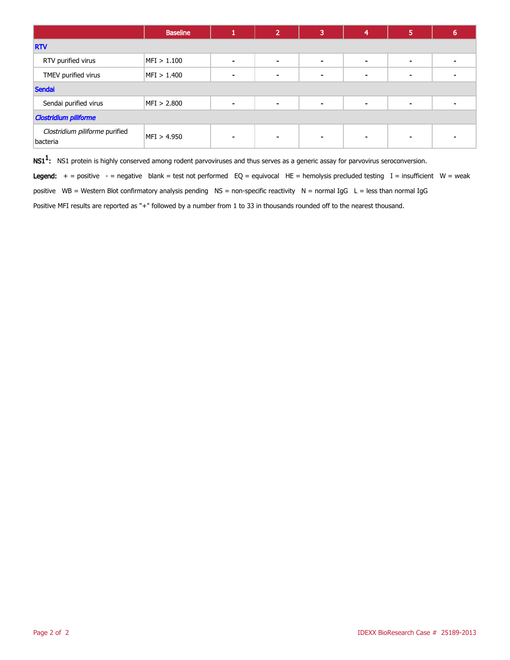|                                            | <b>Baseline</b> |                          | $\overline{2}$ | 3              | 4 | 5                        | b |  |
|--------------------------------------------|-----------------|--------------------------|----------------|----------------|---|--------------------------|---|--|
| <b>RTV</b>                                 |                 |                          |                |                |   |                          |   |  |
| RTV purified virus                         | MFI > 1.100     |                          | $\,$           | $\,$ $\,$      |   | ۰                        |   |  |
| TMEV purified virus                        | MFI > 1.400     |                          | $\blacksquare$ | $\blacksquare$ |   | $\overline{\phantom{a}}$ |   |  |
| <b>Sendai</b>                              |                 |                          |                |                |   |                          |   |  |
| Sendai purified virus                      | MFI > 2.800     | $\overline{\phantom{a}}$ | $\blacksquare$ | $\,$ $\,$      |   | ۰                        |   |  |
| <b>Clostridium piliforme</b>               |                 |                          |                |                |   |                          |   |  |
| Clostridium piliforme purified<br>bacteria | MFI > 4.950     |                          | $\sim$         |                |   |                          |   |  |

 $\mathsf{NS1^1}\text{:}$  NS1 protein is highly conserved among rodent parvoviruses and thus serves as a generic assay for parvovirus seroconversion.

Legend:  $+$  = positive  $-$  = negative blank = test not performed EQ = equivocal HE = hemolysis precluded testing I = insufficient W = weak

positive WB = Western Blot confirmatory analysis pending NS = non-specific reactivity N = normal IgG L = less than normal IgG

Positive MFI results are reported as "+" followed by a number from 1 to 33 in thousands rounded off to the nearest thousand.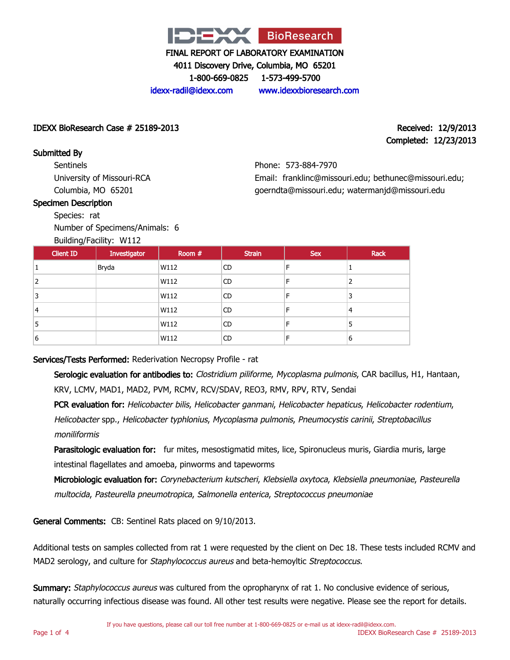

4011 Discovery Drive, Columbia, MO 65201

1-800-669-0825 1-573-499-5700

idexx-radil@idexx.com www.idexxbioresearch.com

# IDEXX BioResearch Case # 25189-2013 Received: 12/9/2013

# Completed: 12/23/2013

Submitted By **Sentinels** University of Missouri-RCA Columbia, MO 65201

Phone: 573-884-7970 Email: franklinc@missouri.edu; bethunec@missouri.edu; goerndta@missouri.edu; watermanjd@missouri.edu

# Specimen Description

Species: rat

Number of Specimens/Animals: 6

# Building/Facility: W112

| <b>Client ID</b> | Investigator | Room # | <b>Strain</b> | <b>Sex</b> | Rack |
|------------------|--------------|--------|---------------|------------|------|
|                  | Bryda        | W112   | <b>CD</b>     | F          |      |
| 2                |              | W112   | <b>CD</b>     | F          |      |
|                  |              | W112   | <b>CD</b>     | F          | 3    |
| 4                |              | W112   | <b>CD</b>     | F          | 4    |
| 5                |              | W112   | <b>CD</b>     | F          | 5    |
| 6                |              | W112   | <b>CD</b>     | F          | 6    |

# Services/Tests Performed: Rederivation Necropsy Profile - rat

Serologic evaluation for antibodies to: Clostridium piliforme, Mycoplasma pulmonis, CAR bacillus, H1, Hantaan, KRV, LCMV, MAD1, MAD2, PVM, RCMV, RCV/SDAV, REO3, RMV, RPV, RTV, Sendai

PCR evaluation for: Helicobacter bilis, Helicobacter ganmani, Helicobacter hepaticus, Helicobacter rodentium, Helicobacter spp., Helicobacter typhlonius, Mycoplasma pulmonis, Pneumocystis carinii, Streptobacillus moniliformis

Parasitologic evaluation for: fur mites, mesostigmatid mites, lice, Spironucleus muris, Giardia muris, large intestinal flagellates and amoeba, pinworms and tapeworms

Microbiologic evaluation for: Corynebacterium kutscheri, Klebsiella oxytoca, Klebsiella pneumoniae, Pasteurella multocida, Pasteurella pneumotropica, Salmonella enterica, Streptococcus pneumoniae

General Comments: CB: Sentinel Rats placed on 9/10/2013.

Additional tests on samples collected from rat 1 were requested by the client on Dec 18. These tests included RCMV and MAD2 serology, and culture for Staphylococcus aureus and beta-hemoyltic Streptococcus.

Summary: Staphylococcus aureus was cultured from the opropharynx of rat 1. No conclusive evidence of serious, naturally occurring infectious disease was found. All other test results were negative. Please see the report for details.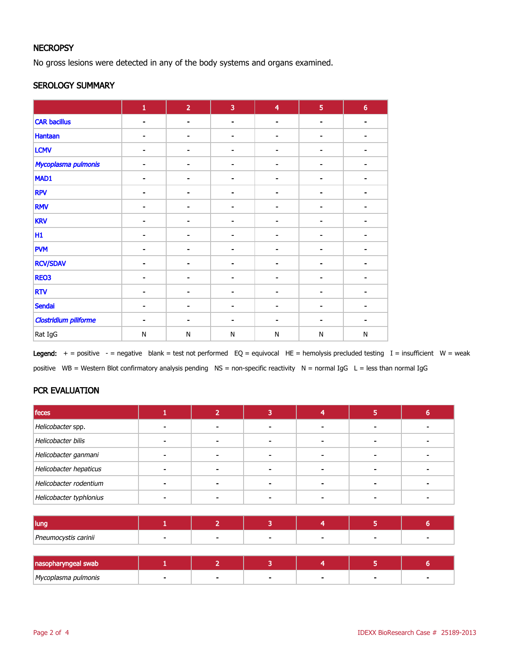# **NECROPSY**

No gross lesions were detected in any of the body systems and organs examined.

#### SEROLOGY SUMMARY

|                              | $\mathbf 1$    | $\overline{2}$               | 3              | $\overline{\mathbf{4}}$ | $\overline{5}$           | $\overline{\mathbf{6}}$ |
|------------------------------|----------------|------------------------------|----------------|-------------------------|--------------------------|-------------------------|
| <b>CAR bacillus</b>          | $\blacksquare$ | $\blacksquare$               | $\blacksquare$ | $\blacksquare$          | ۰                        |                         |
| <b>Hantaan</b>               | ۰              | $\overline{\phantom{a}}$     | -              | $\blacksquare$          | $\overline{\phantom{a}}$ |                         |
| <b>LCMV</b>                  | $\blacksquare$ | $\blacksquare$               |                | $\blacksquare$          | -                        |                         |
| Mycoplasma pulmonis          | $\blacksquare$ | ۰                            | $\blacksquare$ | $\blacksquare$          | $\blacksquare$           |                         |
| MAD1                         |                | $\qquad \qquad$              |                |                         | ۰                        |                         |
| <b>RPV</b>                   | ۰.             | $\qquad \qquad \blacksquare$ | $\blacksquare$ | $\blacksquare$          | $\blacksquare$           |                         |
| <b>RMV</b>                   | $\blacksquare$ | $\blacksquare$               | $\blacksquare$ | $\blacksquare$          | $\blacksquare$           |                         |
| <b>KRV</b>                   | -              | $\qquad \qquad$              |                | -                       | ٠                        |                         |
| H1                           | Ξ.             | $\blacksquare$               | $\blacksquare$ | $\blacksquare$          | $\blacksquare$           |                         |
| <b>PVM</b>                   |                | $\blacksquare$               |                | $\blacksquare$          | ۰                        |                         |
| <b>RCV/SDAV</b>              | ۰              | $\overline{\phantom{a}}$     | -              |                         | $\overline{\phantom{a}}$ |                         |
| REO3                         | $\blacksquare$ | $\blacksquare$               |                | $\blacksquare$          | $\blacksquare$           |                         |
| <b>RTV</b>                   | $\blacksquare$ | ۰                            |                | $\blacksquare$          | ۰                        |                         |
| <b>Sendai</b>                | ۰              | $\blacksquare$               |                |                         | $\overline{\phantom{a}}$ |                         |
| <b>Clostridium piliforme</b> | -              | $\blacksquare$               |                | ۰                       | -                        |                         |
| Rat IgG                      | ${\sf N}$      | ${\sf N}$                    | N              | N                       | ${\sf N}$                | ${\sf N}$               |

Legend:  $+$  = positive  $-$  = negative blank = test not performed EQ = equivocal HE = hemolysis precluded testing I = insufficient W = weak positive WB = Western Blot confirmatory analysis pending NS = non-specific reactivity N = normal IgG L = less than normal IgG

# PCR EVALUATION

| feces                   | n |                          | 5 |  |
|-------------------------|---|--------------------------|---|--|
| Helicobacter spp.       |   |                          |   |  |
| Helicobacter bilis      |   |                          |   |  |
| Helicobacter ganmani    |   |                          |   |  |
| Helicobacter hepaticus  |   |                          |   |  |
| Helicobacter rodentium  |   |                          |   |  |
| Helicobacter typhlonius |   | $\overline{\phantom{0}}$ |   |  |
|                         |   |                          |   |  |

| lung                                 |                          |        |                |  |
|--------------------------------------|--------------------------|--------|----------------|--|
| Pneumocystis carinii                 | $\overline{\phantom{a}}$ | $\sim$ | $\blacksquare$ |  |
|                                      |                          |        |                |  |
| i na anan kaominina amin'ny fivondro |                          |        |                |  |

| Mycoplasma<br>ı pulmonis |  |  |  |
|--------------------------|--|--|--|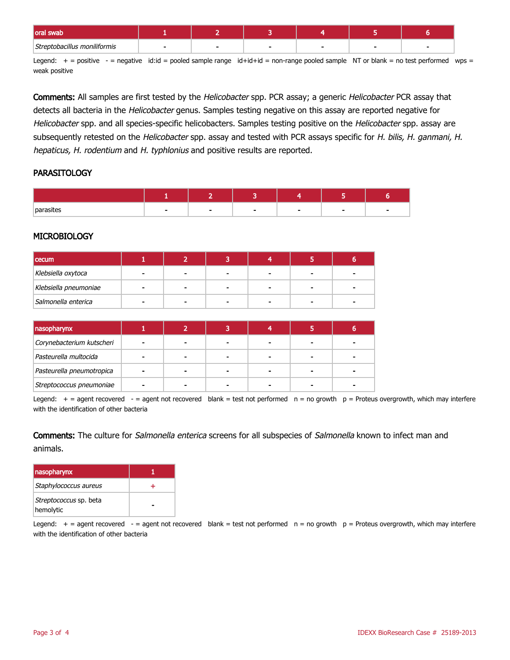| oral swab                                                                                                                                                 |  |                |        |  |  |
|-----------------------------------------------------------------------------------------------------------------------------------------------------------|--|----------------|--------|--|--|
| Streptobacillus moniliformis                                                                                                                              |  | $\blacksquare$ | $\sim$ |  |  |
| Legend: $+$ = positive - = negative id:id = pooled sample range id+id+id = non-range pooled sample NT or blank = no test performed wps =<br>weak positive |  |                |        |  |  |

Comments: All samples are first tested by the Helicobacter spp. PCR assay; a generic Helicobacter PCR assay that detects all bacteria in the Helicobacter genus. Samples testing negative on this assay are reported negative for Helicobacter spp. and all species-specific helicobacters. Samples testing positive on the Helicobacter spp. assay are subsequently retested on the Helicobacter spp. assay and tested with PCR assays specific for H. bilis, H. ganmani, H. hepaticus, H. rodentium and H. typhlonius and positive results are reported.

# **PARASITOLOGY**

| parasites |  |  |  |
|-----------|--|--|--|

# **MICROBIOLOGY**

| <b>cecum</b>          |   |                          |        |                          |  |
|-----------------------|---|--------------------------|--------|--------------------------|--|
| Klebsiella oxytoca    |   |                          |        | -                        |  |
| Klebsiella pneumoniae |   |                          |        | $\overline{\phantom{0}}$ |  |
| Salmonella enterica   | - | $\overline{\phantom{a}}$ | $\sim$ | -                        |  |

| nasopharynx               |  |   |  |  |
|---------------------------|--|---|--|--|
| Corynebacterium kutscheri |  |   |  |  |
| Pasteurella multocida     |  | - |  |  |
| Pasteurella pneumotropica |  |   |  |  |
| Streptococcus pneumoniae  |  |   |  |  |

Legend:  $+$  = agent recovered  $-$  = agent not recovered blank = test not performed  $n = no$  growth  $p =$  Proteus overgrowth, which may interfere with the identification of other bacteria

Comments: The culture for Salmonella enterica screens for all subspecies of Salmonella known to infect man and animals.

| nasopharynx                         |  |
|-------------------------------------|--|
| Staphylococcus aureus               |  |
| Streptococcus sp. beta<br>hemolytic |  |

Legend:  $+$  = agent recovered  $-$  = agent not recovered blank = test not performed  $n =$  no growth  $p =$  Proteus overgrowth, which may interfere with the identification of other bacteria